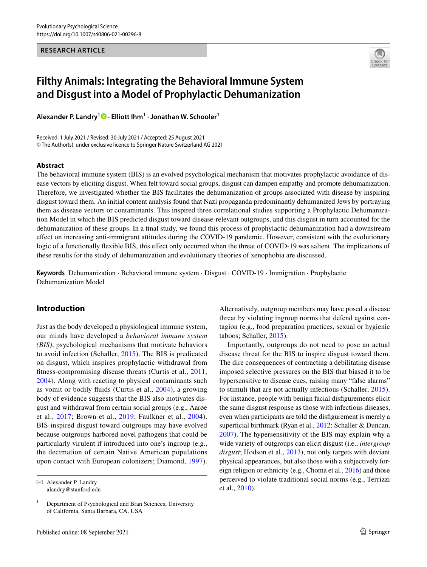#### **RESEARCH ARTICLE**



# **Filthy Animals: Integrating the Behavioral Immune System and Disgust into a Model of Prophylactic Dehumanization**

**Alexander P. Landry<sup>1</sup>  [·](http://orcid.org/0000-0003-1579-7326) Elliott Ihm1 · Jonathan W. Schooler1**

Received: 1 July 2021 / Revised: 30 July 2021 / Accepted: 25 August 2021 © The Author(s), under exclusive licence to Springer Nature Switzerland AG 2021

#### **Abstract**

The behavioral immune system (BIS) is an evolved psychological mechanism that motivates prophylactic avoidance of disease vectors by eliciting disgust. When felt toward social groups, disgust can dampen empathy and promote dehumanization. Therefore, we investigated whether the BIS facilitates the dehumanization of groups associated with disease by inspiring disgust toward them. An initial content analysis found that Nazi propaganda predominantly dehumanized Jews by portraying them as disease vectors or contaminants. This inspired three correlational studies supporting a Prophylactic Dehumanization Model in which the BIS predicted disgust toward disease-relevant outgroups, and this disgust in turn accounted for the dehumanization of these groups. In a fnal study, we found this process of prophylactic dehumanization had a downstream efect on increasing anti-immigrant attitudes during the COVID-19 pandemic. However, consistent with the evolutionary logic of a functionally flexible BIS, this effect only occurred when the threat of COVID-19 was salient. The implications of these results for the study of dehumanization and evolutionary theories of xenophobia are discussed.

**Keywords** Dehumanization · Behavioral immune system · Disgust · COVID-19 · Immigration · Prophylactic Dehumanization Model

# **Introduction**

Just as the body developed a physiological immune system, our minds have developed a *behavioral immune system (BIS)*, psychological mechanisms that motivate behaviors to avoid infection (Schaller, [2015\)](#page-12-0). The BIS is predicated on disgust, which inspires prophylactic withdrawal from ftness-compromising disease threats (Curtis et al., [2011,](#page-11-0) [2004](#page-11-1)). Along with reacting to physical contaminants such as vomit or bodily fuids (Curtis et al., [2004\)](#page-11-1), a growing body of evidence suggests that the BIS also motivates disgust and withdrawal from certain social groups (e.g., Aarøe et al., [2017;](#page-10-0) Brown et al., [2019;](#page-11-2) Faulkner et al., [2004](#page-11-3)). BIS-inspired disgust toward outgroups may have evolved because outgroups harbored novel pathogens that could be particularly virulent if introduced into one's ingroup (e.g., the decimation of certain Native American populations upon contact with European colonizers; Diamond, [1997](#page-11-4)).

Alternatively, outgroup members may have posed a disease threat by violating ingroup norms that defend against contagion (e.g., food preparation practices, sexual or hygienic taboos; Schaller, [2015\)](#page-12-0).

Importantly, outgroups do not need to pose an actual disease threat for the BIS to inspire disgust toward them. The dire consequences of contracting a debilitating disease imposed selective pressures on the BIS that biased it to be hypersensitive to disease cues, raising many "false alarms" to stimuli that are not actually infectious (Schaller, [2015](#page-12-0)). For instance, people with benign facial disfgurements elicit the same disgust response as those with infectious diseases, even when participants are told the disfgurement is merely a superficial birthmark (Ryan et al., [2012](#page-12-1); Schaller & Duncan, [2007](#page-12-2)). The hypersensitivity of the BIS may explain why a wide variety of outgroups can elicit disgust (i.e., *intergroup disgust*; Hodson et al., [2013\)](#page-12-3), not only targets with deviant physical appearances, but also those with a subjectively foreign religion or ethnicity (e.g., Choma et al., [2016](#page-11-5)) and those perceived to violate traditional social norms (e.g., Terrizzi et al., [2010\)](#page-13-0).

 $\boxtimes$  Alexander P. Landry alandry@stanford.edu

 $1$  Department of Psychological and Bran Sciences, University of California, Santa Barbara, CA, USA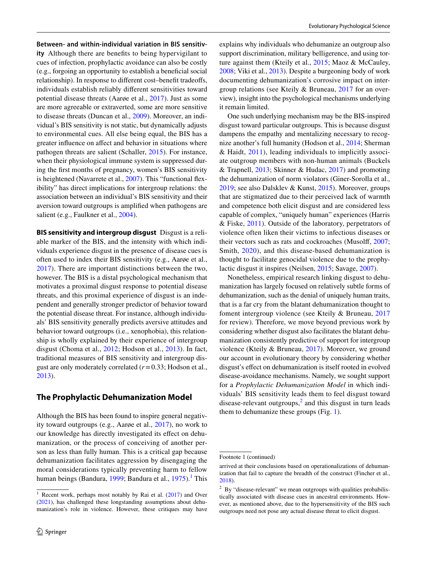**Between‑ and within‑individual variation in BIS sensitiv‑ ity** Although there are benefts to being hypervigilant to cues of infection, prophylactic avoidance can also be costly (e.g., forgoing an opportunity to establish a benefcial social relationship). In response to diferent cost–beneft tradeofs, individuals establish reliably diferent sensitivities toward potential disease threats (Aarøe et al., [2017](#page-10-0)). Just as some are more agreeable or extraverted, some are more sensitive to disease threats (Duncan et al., [2009](#page-11-6)). Moreover, an individual's BIS sensitivity is not static, but dynamically adjusts to environmental cues. All else being equal, the BIS has a greater infuence on afect and behavior in situations where pathogen threats are salient (Schaller, [2015\)](#page-12-0). For instance, when their physiological immune system is suppressed during the frst months of pregnancy, women's BIS sensitivity is heightened (Navarrete et al., [2007](#page-12-4)). This "functional fexibility" has direct implications for intergroup relations: the association between an individual's BIS sensitivity and their aversion toward outgroups is amplifed when pathogens are salient (e.g., Faulkner et al., [2004\)](#page-11-3).

**BIS sensitivity and intergroup disgust** Disgust is a reliable marker of the BIS, and the intensity with which individuals experience disgust in the presence of disease cues is often used to index their BIS sensitivity (e.g., Aarøe et al., [2017\)](#page-10-0). There are important distinctions between the two, however. The BIS is a distal psychological mechanism that motivates a proximal disgust response to potential disease threats, and this proximal experience of disgust is an independent and generally stronger predictor of behavior toward the potential disease threat. For instance, although individuals' BIS sensitivity generally predicts aversive attitudes and behavior toward outgroups (i.e., xenophobia), this relationship is wholly explained by their experience of intergroup disgust (Choma et al., [2012;](#page-11-7) Hodson et al., [2013](#page-12-3)). In fact, traditional measures of BIS sensitivity and intergroup disgust are only moderately correlated (*r*=0.33; Hodson et al., [2013](#page-12-3)).

# **The Prophylactic Dehumanization Model**

Although the BIS has been found to inspire general negativity toward outgroups (e.g., Aarøe et al., [2017](#page-10-0)), no work to our knowledge has directly investigated its effect on dehumanization, or the process of conceiving of another person as less than fully human. This is a critical gap because dehumanization facilitates aggression by disengaging the moral considerations typically preventing harm to fellow human beings (Bandura, [1999;](#page-11-8) Bandura et al., [1975](#page-11-9)).<sup>[1](#page-1-0)</sup> This explains why individuals who dehumanize an outgroup also support discrimination, military belligerence, and using torture against them (Kteily et al., [2015;](#page-12-5) Maoz & McCauley, [2008](#page-12-6); Viki et al., [2013](#page-13-1)). Despite a burgeoning body of work documenting dehumanization's corrosive impact on intergroup relations (see Kteily & Bruneau, [2017](#page-12-7) for an overview), insight into the psychological mechanisms underlying it remain limited.

One such underlying mechanism may be the BIS-inspired disgust toward particular outgroups. This is because disgust dampens the empathy and mentalizing necessary to recognize another's full humanity (Hodson et al., [2014](#page-12-8); Sherman & Haidt, [2011](#page-13-2)), leading individuals to implicitly associate outgroup members with non-human animals (Buckels & Trapnell, [2013](#page-11-10); Skinner & Hudac, [2017\)](#page-13-3) and promoting the dehumanization of norm violators (Giner-Sorolla et al., [2019](#page-11-11); see also Dalsklev & Kunst, [2015](#page-11-12)). Moreover, groups that are stigmatized due to their perceived lack of warmth and competence both elicit disgust and are considered less capable of complex, "uniquely human" experiences (Harris & Fiske, [2011](#page-11-13)). Outside of the laboratory, perpetrators of violence often liken their victims to infectious diseases or their vectors such as rats and cockroaches (Musolf, [2007](#page-12-9); Smith, [2020](#page-13-4)), and this disease-based dehumanization is thought to facilitate genocidal violence due to the prophylactic disgust it inspires (Neilsen, [2015;](#page-12-10) Savage, [2007\)](#page-12-11).

Nonetheless, empirical research linking disgust to dehumanization has largely focused on relatively subtle forms of dehumanization, such as the denial of uniquely human traits, that is a far cry from the blatant dehumanization thought to foment intergroup violence (see Kteily & Bruneau, [2017](#page-12-7) for review). Therefore, we move beyond previous work by considering whether disgust also facilitates the blatant dehumanization consistently predictive of support for intergroup violence (Kteily & Bruneau, [2017\)](#page-12-7). Moreover, we ground our account in evolutionary theory by considering whether disgust's efect on dehumanization is itself rooted in evolved disease-avoidance mechanisms. Namely, we sought support for a *Prophylactic Dehumanization Model* in which individuals' BIS sensitivity leads them to feel disgust toward disease-relevant outgroups, $<sup>2</sup>$  $<sup>2</sup>$  $<sup>2</sup>$  and this disgust in turn leads</sup> them to dehumanize these groups (Fig. [1\)](#page-2-0).

<span id="page-1-0"></span><sup>&</sup>lt;sup>1</sup> Recent work, perhaps most notably by Rai et al. [\(2017](#page-12-12)) and Over ([2021\)](#page-12-13), has challenged these longstanding assumptions about dehumanization's role in violence. However, these critiques may have

Footnote 1 (continued)

arrived at their conclusions based on operationalizations of dehumanization that fail to capture the breadth of the construct (Fincher et al., [2018](#page-11-14)).

<span id="page-1-1"></span><sup>&</sup>lt;sup>2</sup> By "disease-relevant" we mean outgroups with qualities probabilistically associated with disease cues in ancestral environments. However, as mentioned above, due to the hypersensitivity of the BIS such outgroups need not pose any actual disease threat to elicit disgust.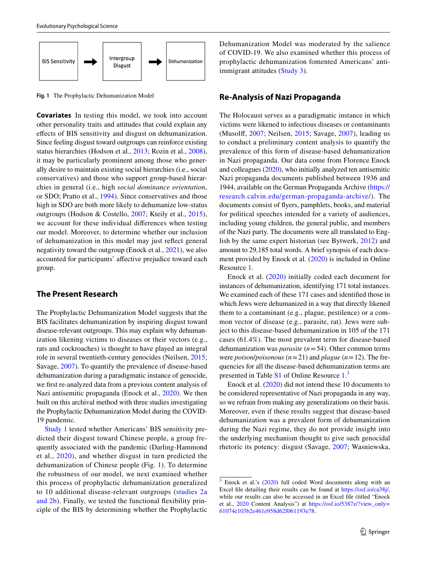

<span id="page-2-0"></span>**Fig. 1** The Prophylactic Dehumanization Model

**Covariates** In testing this model, we took into account other personality traits and attitudes that could explain any efects of BIS sensitivity and disgust on dehumanization. Since feeling disgust toward outgroups can reinforce existing status hierarchies (Hodson et al., [2013](#page-12-3); Rozin et al., [2008](#page-12-14)), it may be particularly prominent among those who generally desire to maintain existing social hierarchies (i.e., social conservatives) and those who support group-based hierarchies in general (i.e., high *social dominance orientation*, or SDO; Pratto et al., [1994](#page-12-15)). Since conservatives and those high in SDO are both more likely to dehumanize low-status outgroups (Hodson & Costello, [2007](#page-11-15); Kteily et al., [2015](#page-12-5)), we account for these individual diferences when testing our model. Moreover, to determine whether our inclusion of dehumanization in this model may just refect general negativity toward the outgroup (Enock et al., [2021](#page-11-16)), we also accounted for participants' afective prejudice toward each group.

# **The Present Research**

The Prophylactic Dehumanization Model suggests that the BIS facilitates dehumanization by inspiring disgust toward disease-relevant outgroups. This may explain why dehumanization likening victims to diseases or their vectors (e.g., rats and cockroaches) is thought to have played an integral role in several twentieth-century genocides (Neilsen, [2015](#page-12-10); Savage, [2007\)](#page-12-11). To quantify the prevalence of disease-based dehumanization during a paradigmatic instance of genocide, we frst re-analyzed data from a previous content analysis of Nazi antisemitic propaganda (Enock et al., [2020\)](#page-11-17). We then built on this archival method with three studies investigating the Prophylactic Dehumanization Model during the COVID-19 pandemic.

[Study 1](#page-3-0) tested whether Americans' BIS sensitivity predicted their disgust toward Chinese people, a group frequently associated with the pandemic (Darling-Hammond et al., [2020](#page-11-18)), and whether disgust in turn predicted the dehumanization of Chinese people (Fig. [1](#page-2-0)). To determine the robustness of our model, we next examined whether this process of prophylactic dehumanization generalized to 10 additional disease-relevant outgroups ([studies 2a](#page-5-0) [and 2b](#page-5-0)). Finally, we tested the functional fexibility principle of the BIS by determining whether the Prophylactic Dehumanization Model was moderated by the salience of COVID-19. We also examined whether this process of prophylactic dehumanization fomented Americans' antiimmigrant attitudes ([Study 3](#page-7-0)).

# **Re‑Analysis of Nazi Propaganda**

The Holocaust serves as a paradigmatic instance in which victims were likened to infectious diseases or contaminants (Musolf, [2007](#page-12-9); Neilsen, [2015;](#page-12-10) Savage, [2007\)](#page-12-11), leading us to conduct a preliminary content analysis to quantify the prevalence of this form of disease-based dehumanization in Nazi propaganda. Our data come from Florence Enock and colleagues ([2020\)](#page-11-17), who initially analyzed ten antisemitic Nazi propaganda documents published between 1936 and 1944, available on the German Propaganda Archive ([https://](https://research.calvin.edu/german-propaganda-archive/) [research.calvin.edu/german-propaganda-archive/\)](https://research.calvin.edu/german-propaganda-archive/). The documents consist of fyers, pamphlets, books, and material for political speeches intended for a variety of audiences, including young children, the general public, and members of the Nazi party. The documents were all translated to English by the same expert historian (see Bytwerk, [2012](#page-11-19)) and amount to 29,185 total words. A brief synopsis of each document provided by Enock et al. [\(2020\)](#page-11-17) is included in Online Resource 1.

Enock et al. ([2020\)](#page-11-17) initially coded each document for instances of dehumanization, identifying 171 total instances. We examined each of these 171 cases and identifed those in which Jews were dehumanized in a way that directly likened them to a contaminant (e.g., plague, pestilence) or a common vector of disease (e.g., parasite, rat). Jews were subject to this disease-based dehumanization in 105 of the 171 cases (61.4%). The most prevalent term for disease-based dehumanization was *parasite* (*n*=54). Other common terms were *poison*/*poisonous* (*n*=21) and *plague* (*n*=12). The frequencies for all the disease-based dehumanization terms are presented in Table S<sub>1</sub> of Online Resource 1.<sup>[3](#page-2-1)</sup>

Enock et al. ([2020\)](#page-11-17) did not intend these 10 documents to be considered representative of Nazi propaganda in any way, so we refrain from making any generalizations on their basis. Moreover, even if these results suggest that disease-based dehumanization was a prevalent form of dehumanization during the Nazi regime, they do not provide insight into the underlying mechanism thought to give such genocidal rhetoric its potency: disgust (Savage, [2007;](#page-12-11) Wasniewska,

<span id="page-2-1"></span> $3$  Enock et al.'s ([2020\)](#page-11-17) full coded Word documents along with an Excel fle detailing their results can be found at <https://osf.io/ca38j/>, while our results can also be accessed in an Excel fle (titled "Enock et al., [2020](#page-11-17) Content Analysis") at [https://osf.io/5387z/?view\\_only=](https://osf.io/5387z/?view_only=61074e103b2e461e958d62f061193e78) [61074e103b2e461e958d62f061193e78.](https://osf.io/5387z/?view_only=61074e103b2e461e958d62f061193e78)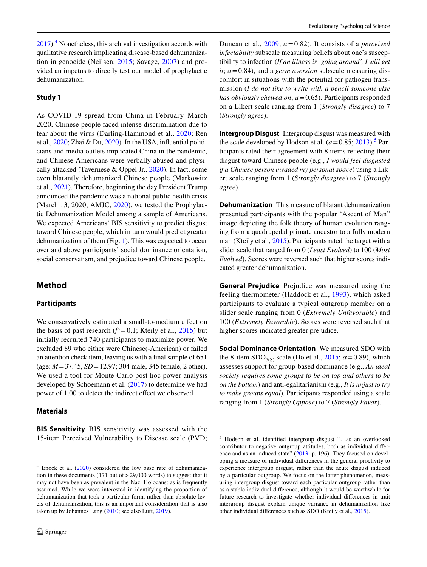$2017$ ).<sup>[4](#page-3-1)</sup> Nonetheless, this archival investigation accords with qualitative research implicating disease-based dehumanization in genocide (Neilsen, [2015;](#page-12-10) Savage, [2007\)](#page-12-11) and provided an impetus to directly test our model of prophylactic dehumanization.

## <span id="page-3-0"></span>**Study 1**

As COVID-19 spread from China in February–March 2020, Chinese people faced intense discrimination due to fear about the virus (Darling-Hammond et al., [2020;](#page-11-18) Ren et al., [2020](#page-12-16); Zhai & Du, [2020](#page-13-6)). In the USA, infuential politicians and media outlets implicated China in the pandemic, and Chinese-Americans were verbally abused and physically attacked (Tavernese & Oppel Jr., [2020](#page-13-7)). In fact, some even blatantly dehumanized Chinese people (Markowitz et al., [2021](#page-12-17)). Therefore, beginning the day President Trump announced the pandemic was a national public health crisis (March 13, 2020; AMJC, [2020\)](#page-11-20), we tested the Prophylactic Dehumanization Model among a sample of Americans. We expected Americans' BIS sensitivity to predict disgust toward Chinese people, which in turn would predict greater dehumanization of them (Fig. [1](#page-2-0)). This was expected to occur over and above participants' social dominance orientation, social conservatism, and prejudice toward Chinese people.

# **Method**

#### **Participants**

We conservatively estimated a small-to-medium effect on the basis of past research  $(f^2 = 0.1)$ ; Kteily et al., [2015\)](#page-12-5) but initially recruited 740 participants to maximize power. We excluded 89 who either were Chinese(-American) or failed an attention check item, leaving us with a fnal sample of 651 (age: *M*=37.45, *SD*=12.97; 304 male, 345 female, 2 other). We used a tool for Monte Carlo post hoc power analysis developed by Schoemann et al. [\(2017\)](#page-13-8) to determine we had power of 1.00 to detect the indirect effect we observed.

#### **Materials**

**BIS Sensitivity** BIS sensitivity was assessed with the 15-item Perceived Vulnerability to Disease scale (PVD; Duncan et al., [2009](#page-11-6); *a*=0.82). It consists of a *perceived infectability* subscale measuring beliefs about one's susceptibility to infection (*If an illness is 'going around', I will get it*; *a*=0.84), and a *germ aversion* subscale measuring discomfort in situations with the potential for pathogen transmission (*I do not like to write with a pencil someone else has obviously chewed on*; *a*=0.65). Participants responded on a Likert scale ranging from 1 (*Strongly disagree*) to 7 (*Strongly agree*).

**Intergroup Disgust** Intergroup disgust was measured with the scale developed by Hodson et al.  $(a=0.85; 2013)$  $(a=0.85; 2013)$  $(a=0.85; 2013)$ <sup>[5](#page-3-2)</sup> Participants rated their agreement with 8 items refecting their disgust toward Chinese people (e.g., *I would feel disgusted if a Chinese person invaded my personal space*) using a Likert scale ranging from 1 (*Strongly disagree*) to 7 (*Strongly agree*).

**Dehumanization** This measure of blatant dehumanization presented participants with the popular "Ascent of Man" image depicting the folk theory of human evolution ranging from a quadrupedal primate ancestor to a fully modern man (Kteily et al., [2015](#page-12-5)). Participants rated the target with a slider scale that ranged from 0 (*Least Evolved*) to 100 (*Most Evolved*). Scores were reversed such that higher scores indicated greater dehumanization.

**General Prejudice** Prejudice was measured using the feeling thermometer (Haddock et al., [1993\)](#page-11-21), which asked participants to evaluate a typical outgroup member on a slider scale ranging from 0 (*Extremely Unfavorable*) and 100 (*Extremely Favorable*). Scores were reversed such that higher scores indicated greater prejudice.

**Social Dominance Orientation** We measured SDO with the 8-item SDO<sub>7(S)</sub> scale (Ho et al.,  $2015$ ;  $\alpha$  = 0.89), which assesses support for group-based dominance (e.g., *An ideal society requires some groups to be on top and others to be on the bottom*) and anti-egalitarianism (e.g., *It is unjust to try to make groups equal*)*.* Participants responded using a scale ranging from 1 (*Strongly Oppose*) to 7 (*Strongly Favor*).

<span id="page-3-1"></span> $4$  Enock et al. [\(2020](#page-11-17)) considered the low base rate of dehumanization in these documents (171 out of>29,000 words) to suggest that it may not have been as prevalent in the Nazi Holocaust as is frequently assumed. While we were interested in identifying the proportion of dehumanization that took a particular form, rather than absolute levels of dehumanization, this is an important consideration that is also taken up by Johannes Lang [\(2010](#page-12-18); see also Luft, [2019](#page-12-19)).

<span id="page-3-2"></span><sup>5</sup> Hodson et al. identifed intergroup disgust "…as an overlooked contributor to negative outgroup attitudes, both as individual difer-ence and as an induced state" [\(2013](#page-12-3); p. 196). They focused on developing a measure of individual diferences in the general proclivity to experience intergroup disgust, rather than the acute disgust induced by a particular outgroup. We focus on the latter phenomenon, measuring intergroup disgust toward each particular outgroup rather than as a stable individual diference, although it would be worthwhile for future research to investigate whether individual diferences in trait intergroup disgust explain unique variance in dehumanization like other individual diferences such as SDO (Kteily et al., [2015](#page-12-5)).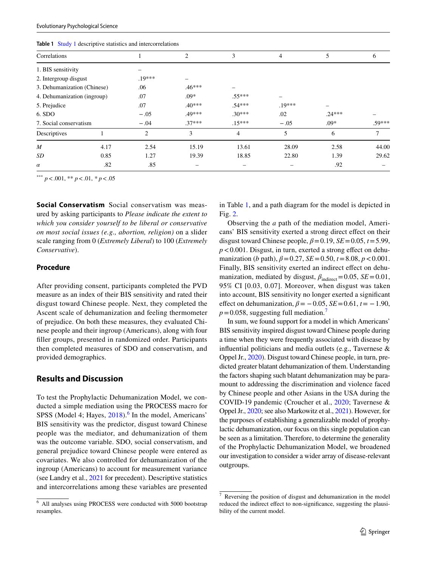| <b>Table 1. Study 1 descriptive statistics and intercorrelations</b> |      |                |          |          |                |          |          |  |
|----------------------------------------------------------------------|------|----------------|----------|----------|----------------|----------|----------|--|
| Correlations                                                         |      |                | 2        | 3        | $\overline{4}$ | 5        | 6        |  |
| 1. BIS sensitivity                                                   |      |                |          |          |                |          |          |  |
| 2. Intergroup disgust                                                |      | $.19***$       |          |          |                |          |          |  |
| 3. Dehumanization (Chinese)                                          |      | .06            | $.46***$ |          |                |          |          |  |
| 4. Dehumanization (ingroup)                                          |      | .07            | $.09*$   | $.55***$ |                |          |          |  |
| 5. Prejudice                                                         |      | .07            | $.40***$ | .54***   | $.19***$       |          |          |  |
| 6. SDO                                                               |      | $-.05$         | .49***   | $.30***$ | .02            | $.24***$ |          |  |
| 7. Social conservatism                                               |      | $-.04$         | $.37***$ | $.15***$ | $-.05$         | $.09*$   | $.59***$ |  |
| Descriptives                                                         |      | $\overline{2}$ | 3        | 4        | 5              | 6        | 7        |  |
| $\overline{M}$                                                       | 4.17 | 2.54           | 15.19    | 13.61    | 28.09          | 2.58     | 44.00    |  |
| SD                                                                   | 0.85 | 1.27           | 19.39    | 18.85    | 22.80          | 1.39     | 29.62    |  |
| $\alpha$                                                             | .82  | .85            |          |          |                | .92      |          |  |
|                                                                      |      |                |          |          |                |          |          |  |

<span id="page-4-1"></span>**Table 1** [Study 1](#page-3-0) descriptive statistics and intercorrelations

\*\*\* *p*<.001, \*\* *p*<.01, *\* p*<.05

**Social Conservatism** Social conservatism was measured by asking participants to *Please indicate the extent to which you consider yourself to be liberal or conservative on most social issues (e.g., abortion, religion)* on a slider scale ranging from 0 (*Extremely Liberal*) to 100 (*Extremely Conservative*).

### **Procedure**

After providing consent, participants completed the PVD measure as an index of their BIS sensitivity and rated their disgust toward Chinese people. Next, they completed the Ascent scale of dehumanization and feeling thermometer of prejudice. On both these measures, they evaluated Chinese people and their ingroup (Americans), along with four fller groups, presented in randomized order. Participants then completed measures of SDO and conservatism, and provided demographics.

# **Results and Discussion**

To test the Prophylactic Dehumanization Model, we conducted a simple mediation using the PROCESS macro for SPSS (Model 4; Hayes,  $2018$ ).<sup>[6](#page-4-0)</sup> In the model, Americans' BIS sensitivity was the predictor, disgust toward Chinese people was the mediator, and dehumanization of them was the outcome variable. SDO, social conservatism, and general prejudice toward Chinese people were entered as covariates. We also controlled for dehumanization of the ingroup (Americans) to account for measurement variance (see Landry et al., [2021](#page-12-20) for precedent). Descriptive statistics and intercorrelations among these variables are presented

in Table [1](#page-4-1), and a path diagram for the model is depicted in Fig. [2.](#page-5-1)

Observing the *a* path of the mediation model, Americans' BIS sensitivity exerted a strong direct efect on their disgust toward Chinese people,  $\beta$  = 0.19, *SE* = 0.05, *t* = 5.99,  $p$ <0.001. Disgust, in turn, exerted a strong effect on dehumanization (*b* path),  $\beta$ =0.27, *SE*=0.50, *t*=8.08, *p* <0.001. Finally, BIS sensitivity exerted an indirect effect on dehumanization, mediated by disgust,  $\beta_{indirect}=0.05$ , *SE*=0.01, 95% CI [0.03, 0.07]. Moreover, when disgust was taken into account, BIS sensitivity no longer exerted a signifcant effect on dehumanization,  $\beta$  = −0.05, *SE* = 0.61, *t* = −1.90,  $p=0.058$ , suggesting full mediation.<sup>[7](#page-4-2)</sup>

In sum, we found support for a model in which Americans' BIS sensitivity inspired disgust toward Chinese people during a time when they were frequently associated with disease by infuential politicians and media outlets (e.g., Tavernese & Oppel Jr., [2020](#page-13-7)). Disgust toward Chinese people, in turn, predicted greater blatant dehumanization of them. Understanding the factors shaping such blatant dehumanization may be paramount to addressing the discrimination and violence faced by Chinese people and other Asians in the USA during the COVID-19 pandemic (Croucher et al., [2020;](#page-11-24) Tavernese & Oppel Jr., [2020](#page-13-7); see also Markowitz et al., [2021\)](#page-12-17). However, for the purposes of establishing a generalizable model of prophylactic dehumanization, our focus on this single population can be seen as a limitation. Therefore, to determine the generality of the Prophylactic Dehumanization Model, we broadened our investigation to consider a wider array of disease-relevant outgroups.

<span id="page-4-0"></span><sup>6</sup> All analyses using PROCESS were conducted with 5000 bootstrap resamples.

<span id="page-4-2"></span>Reversing the position of disgust and dehumanization in the model reduced the indirect efect to non-signifcance, suggesting the plausibility of the current model.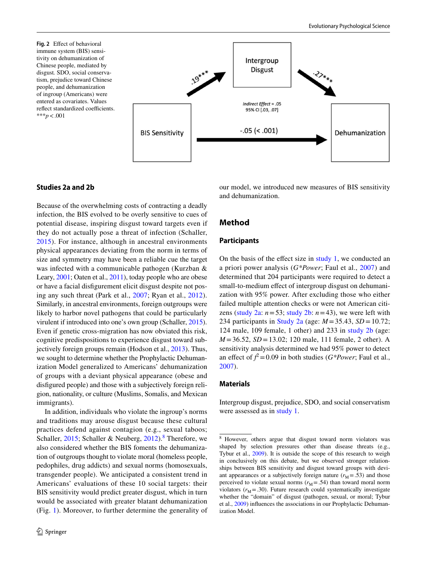<span id="page-5-1"></span>**Fig. 2** Efect of behavioral immune system (BIS) sensitivity on dehumanization of Chinese people, mediated by disgust*.* SDO, social conservatism, prejudice toward Chinese people, and dehumanization of ingroup (Americans) were entered as covariates. Values reflect standardized coefficients. \*\*\**p*<.001



# <span id="page-5-0"></span>**Studies 2a and 2b**

Because of the overwhelming costs of contracting a deadly infection, the BIS evolved to be overly sensitive to cues of potential disease, inspiring disgust toward targets even if they do not actually pose a threat of infection (Schaller, [2015\)](#page-12-0). For instance, although in ancestral environments physical appearances deviating from the norm in terms of size and symmetry may have been a reliable cue the target was infected with a communicable pathogen (Kurzban & Leary, [2001](#page-12-21); Oaten et al., [2011](#page-12-22)), today people who are obese or have a facial disfgurement elicit disgust despite not posing any such threat (Park et al., [2007;](#page-12-23) Ryan et al., [2012](#page-12-1)). Similarly, in ancestral environments, foreign outgroups were likely to harbor novel pathogens that could be particularly virulent if introduced into one's own group (Schaller, [2015](#page-12-0)). Even if genetic cross-migration has now obviated this risk, cognitive predispositions to experience disgust toward subjectively foreign groups remain (Hodson et al., [2013](#page-12-3)). Thus, we sought to determine whether the Prophylactic Dehumanization Model generalized to Americans' dehumanization of groups with a deviant physical appearance (obese and disfgured people) and those with a subjectively foreign religion, nationality, or culture (Muslims, Somalis, and Mexican immigrants).

In addition, individuals who violate the ingroup's norms and traditions may arouse disgust because these cultural practices defend against contagion (e.g., sexual taboos; Schaller, [2015](#page-12-0); Schaller & Neuberg, [2012\)](#page-13-9).<sup>[8](#page-5-2)</sup> Therefore, we also considered whether the BIS foments the dehumanization of outgroups thought to violate moral (homeless people, pedophiles, drug addicts) and sexual norms (homosexuals, transgender people). We anticipated a consistent trend in Americans' evaluations of these 10 social targets: their BIS sensitivity would predict greater disgust, which in turn would be associated with greater blatant dehumanization (Fig. [1](#page-2-0)). Moreover, to further determine the generality of our model, we introduced new measures of BIS sensitivity and dehumanization.

# **Method**

#### **Participants**

On the basis of the effect size in  $study 1$ , we conducted an a priori power analysis (*G\*Power*; Faul et al., [2007\)](#page-11-25) and determined that 204 participants were required to detect a small-to-medium effect of intergroup disgust on dehumanization with 95% power. After excluding those who either failed multiple attention checks or were not American citi-zens [\(study 2a](#page-5-0):  $n = 53$ ; [study 2b:](#page-5-0)  $n = 43$ ), we were left with 234 participants in [Study 2a](#page-5-0) (age: *M* =35.43, *SD* =10.72; 124 male, 109 female, 1 other) and 233 in [study 2b](#page-5-0) (age: *M* =36.52, *SD* =13.02; 120 male, 111 female, 2 other). A sensitivity analysis determined we had 95% power to detect an effect of  $f^2 = 0.09$  in both studies (*G\*Power*; Faul et al., [2007](#page-11-25)).

#### **Materials**

Intergroup disgust, prejudice, SDO, and social conservatism were assessed as in [study 1](#page-3-0).

<span id="page-5-2"></span><sup>8</sup> However, others argue that disgust toward norm violators was shaped by selection pressures other than disease threats (e.g., Tybur et al., [2009](#page-13-10)). It is outside the scope of this research to weigh in conclusively on this debate, but we observed stronger relationships between BIS sensitivity and disgust toward groups with deviant appearances or a subjectively foreign nature  $(r_M = .53)$  and those perceived to violate sexual norms  $(r_M = .54)$  than toward moral norm violators  $(r_M = .30)$ . Future research could systematically investigate whether the "domain" of disgust (pathogen, sexual, or moral; Tybur et al., [2009\)](#page-13-10) infuences the associations in our Prophylactic Dehumanization Model.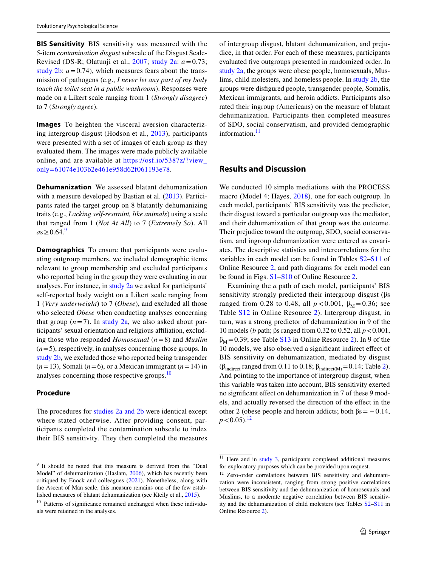**BIS Sensitivity** BIS sensitivity was measured with the 5-item *contamination disgust* subscale of the Disgust Scale-Revised (DS-R; Olatunji et al., [2007](#page-12-24); [study 2a:](#page-5-0) *a*=0.73; study  $2b$ :  $a = 0.74$ ), which measures fears about the transmission of pathogens (e.g., *I never let any part of my body touch the toilet seat in a public washroom*). Responses were made on a Likert scale ranging from 1 (*Strongly disagree*) to 7 (*Strongly agree*).

**Images** To heighten the visceral aversion characterizing intergroup disgust (Hodson et al., [2013](#page-12-3)), participants were presented with a set of images of each group as they evaluated them. The images were made publicly available online, and are available at [https://osf.io/5387z/?view\\_](https://osf.io/5387z/?view_only=61074e103b2e461e958d62f061193e78) [only=61074e103b2e461e958d62f061193e78](https://osf.io/5387z/?view_only=61074e103b2e461e958d62f061193e78).

**Dehumanization** We assessed blatant dehumanization with a measure developed by Bastian et al. [\(2013\)](#page-11-26). Participants rated the target group on 8 blatantly dehumanizing traits (e.g., *Lacking self-restraint, like animals*) using a scale that ranged from 1 (*Not At All*) to 7 (*Extremely So*). All  $as > 0.64$ .[9](#page-6-0)

**Demographics** To ensure that participants were evaluating outgroup members, we included demographic items relevant to group membership and excluded participants who reported being in the group they were evaluating in our analyses. For instance, in [study 2a w](#page-5-0)e asked for participants' self-reported body weight on a Likert scale ranging from 1 (*Very underweight*) to 7 (*Obese*), and excluded all those who selected *Obese* when conducting analyses concerning that group  $(n=7)$ . In [study 2a](#page-5-0), we also asked about participants' sexual orientation and religious afliation, excluding those who responded *Homosexual* (*n*=8) and *Muslim*  $(n=5)$ , respectively, in analyses concerning those groups. In [study 2b,](#page-5-0) we excluded those who reported being transgender  $(n=13)$ , Somali  $(n=6)$ , or a Mexican immigrant  $(n=14)$  in analyses concerning those respective groups.[10](#page-6-1)

#### **Procedure**

The procedures for [studies 2a and 2b](#page-5-0) were identical except where stated otherwise. After providing consent, participants completed the contamination subscale to index their BIS sensitivity. They then completed the measures

of intergroup disgust, blatant dehumanization, and prejudice, in that order. For each of these measures, participants evaluated fve outgroups presented in randomized order. In [study 2a](#page-5-0), the groups were obese people, homosexuals, Muslims, child molesters, and homeless people. In [study 2b,](#page-5-0) the groups were disfgured people, transgender people, Somalis, Mexican immigrants, and heroin addicts. Participants also rated their ingroup (Americans) on the measure of blatant dehumanization. Participants then completed measures of SDO, social conservatism, and provided demographic information.<sup>[11](#page-6-2)</sup>

# **Results and Discussion**

We conducted 10 simple mediations with the PROCESS macro (Model 4; Hayes, [2018\)](#page-11-23), one for each outgroup. In each model, participants' BIS sensitivity was the predictor, their disgust toward a particular outgroup was the mediator, and their dehumanization of that group was the outcome. Their prejudice toward the outgroup, SDO, social conservatism, and ingroup dehumanization were entered as covariates. The descriptive statistics and intercorrelations for the variables in each model can be found in Tables S2–S11 of Online Resource 2, and path diagrams for each model can be found in Figs. S1–S10 of Online Resource 2.

Examining the *a* path of each model, participants' BIS sensitivity strongly predicted their intergroup disgust (βs ranged from 0.28 to 0.48, all  $p < 0.001$ ,  $β_M = 0.36$ ; see Table S12 in Online Resource 2). Intergroup disgust, in turn, was a strong predictor of dehumanization in 9 of the 10 models (*b* path; βs ranged from 0.32 to 0.52, all *p*<0.001,  $\beta_M = 0.39$ ; see Table S13 in Online Resource 2). In 9 of the 10 models, we also observed a signifcant indirect efect of BIS sensitivity on dehumanization, mediated by disgust ( $β<sub>indirect</sub> ranged from 0.11 to 0.18;  $β<sub>indirect(M)</sub> = 0.14$ ; Table [2](#page-7-1)).$ And pointing to the importance of intergroup disgust, when this variable was taken into account, BIS sensitivity exerted no signifcant efect on dehumanization in 7 of these 9 models, and actually reversed the direction of the efect in the other 2 (obese people and heroin addicts; both  $βs = -0.14$ ,  $p < 0.05$ ).<sup>[12](#page-6-3)</sup>

<span id="page-6-0"></span><sup>9</sup> It should be noted that this measure is derived from the "Dual Model" of dehumanization (Haslam, [2006\)](#page-11-27), which has recently been critiqued by Enock and colleagues [\(2021](#page-11-16)). Nonetheless, along with the Ascent of Man scale, this measure remains one of the few established measures of blatant dehumanization (see Kteily et al., [2015\)](#page-12-5).

<span id="page-6-1"></span><sup>&</sup>lt;sup>10</sup> Patterns of significance remained unchanged when these individuals were retained in the analyses.

<span id="page-6-2"></span> $11$  Here and in [study 3,](#page-7-0) participants completed additional measures for exploratory purposes which can be provided upon request.

<span id="page-6-3"></span><sup>&</sup>lt;sup>12</sup> Zero-order correlations between BIS sensitivity and dehumanization were inconsistent, ranging from strong positive correlations between BIS sensitivity and the dehumanization of homosexuals and Muslims, to a moderate negative correlation between BIS sensitivity and the dehumanization of child molesters (see Tables S2–S11 in Online Resource 2).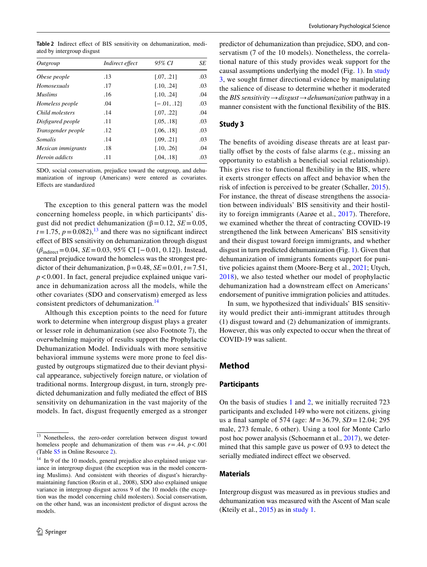<span id="page-7-1"></span>**Table 2** Indirect efect of BIS sensitivity on dehumanization, mediated by intergroup disgust

| Outgroup           | Indirect effect | 95% CI        | SE  |
|--------------------|-----------------|---------------|-----|
| Obese people       | .13             | [.07, .21]    | .03 |
| Homosexuals        | .17             | [.10, .24]    | .03 |
| <i>Muslims</i>     | .16             | [.10, .24]    | .04 |
| Homeless people    | .04             | $[-.01, .12]$ | .03 |
| Child molesters    | .14             | [.07, .22]    | .04 |
| Disfigured people  | .11             | [.05, .18]    | .03 |
| Transgender people | .12             | [.06, .18]    | .03 |
| Somalis            | .14             | [.09, .21]    | .03 |
| Mexican immigrants | .18             | [.10, .26]    | .04 |
| Heroin addicts     | .11             | [.04. .181    | .03 |

SDO, social conservatism, prejudice toward the outgroup, and dehumanization of ingroup (Americans) were entered as covariates. Efects are standardized

The exception to this general pattern was the model concerning homeless people, in which participants' disgust did not predict dehumanization ( $β = 0.12$ , *SE* = 0.05,  $t=1.75$ ,  $p=0.082$ ), <sup>13</sup> and there was no significant indirect efect of BIS sensitivity on dehumanization through disgust (*β*indirect=0.04, *SE*=0.03, 95% CI [−0.01, 0.12]). Instead, general prejudice toward the homeless was the strongest predictor of their dehumanization,  $\beta$  = 0.48, *SE* = 0.01, *t* = 7.51, *p*<0.001. In fact, general prejudice explained unique variance in dehumanization across all the models, while the other covariates (SDO and conservatism) emerged as less consistent predictors of dehumanization.<sup>[14](#page-7-3)</sup>

Although this exception points to the need for future work to determine when intergroup disgust plays a greater or lesser role in dehumanization (see also Footnote 7), the overwhelming majority of results support the Prophylactic Dehumanization Model. Individuals with more sensitive behavioral immune systems were more prone to feel disgusted by outgroups stigmatized due to their deviant physical appearance, subjectively foreign nature, or violation of traditional norms. Intergroup disgust, in turn, strongly predicted dehumanization and fully mediated the effect of BIS sensitivity on dehumanization in the vast majority of the models. In fact, disgust frequently emerged as a stronger predictor of dehumanization than prejudice, SDO, and conservatism (7 of the 10 models). Nonetheless, the correlational nature of this study provides weak support for the causal assumptions underlying the model (Fig. [1\)](#page-2-0). In [study](#page-7-0) [3](#page-7-0), we sought frmer directional evidence by manipulating the salience of disease to determine whether it moderated the *BIS sensitivity→disgust→dehumanization* pathway in a manner consistent with the functional fexibility of the BIS.

#### <span id="page-7-0"></span>**Study 3**

The benefts of avoiding disease threats are at least partially offset by the costs of false alarms (e.g., missing an opportunity to establish a benefcial social relationship). This gives rise to functional fexibility in the BIS, where it exerts stronger effects on affect and behavior when the risk of infection is perceived to be greater (Schaller, [2015](#page-12-0)). For instance, the threat of disease strengthens the association between individuals' BIS sensitivity and their hostility to foreign immigrants (Aarøe et al., [2017](#page-10-0)). Therefore, we examined whether the threat of contracting COVID-19 strengthened the link between Americans' BIS sensitivity and their disgust toward foreign immigrants, and whether disgust in turn predicted dehumanization (Fig. [1](#page-2-0)). Given that dehumanization of immigrants foments support for punitive policies against them (Moore-Berg et al., [2021](#page-12-25); Utych, [2018\)](#page-13-11), we also tested whether our model of prophylactic dehumanization had a downstream efect on Americans' endorsement of punitive immigration policies and attitudes.

In sum, we hypothesized that individuals' BIS sensitivity would predict their anti-immigrant attitudes through (1) disgust toward and (2) dehumanization of immigrants. However, this was only expected to occur when the threat of COVID-19 was salient.

# **Method**

#### **Participants**

On the basis of studies [1](#page-3-0) and [2](#page-5-0), we initially recruited 723 participants and excluded 149 who were not citizens, giving us a fnal sample of 574 (age: *M* =36.79, *SD* =12.04; 295 male, 273 female, 6 other). Using a tool for Monte Carlo post hoc power analysis (Schoemann et al., [2017](#page-13-8)), we determined that this sample gave us power of 0.93 to detect the serially mediated indirect effect we observed.

#### **Materials**

Intergroup disgust was measured as in previous studies and dehumanization was measured with the Ascent of Man scale (Kteily et al., [2015\)](#page-12-5) as in [study 1](#page-3-0).

<span id="page-7-2"></span><sup>13</sup> Nonetheless, the zero-order correlation between disgust toward homeless people and dehumanization of them was  $r = .44$ ,  $p < .001$ (Table S5 in Online Resource 2).

<span id="page-7-3"></span><sup>&</sup>lt;sup>14</sup> In 9 of the 10 models, general prejudice also explained unique variance in intergroup disgust (the exception was in the model concerning Muslims). And consistent with theories of disgust's hierarchymaintaining function (Rozin et al., 2008), SDO also explained unique variance in intergroup disgust across 9 of the 10 models (the exception was the model concerning child molesters). Social conservatism, on the other hand, was an inconsistent predictor of disgust across the models.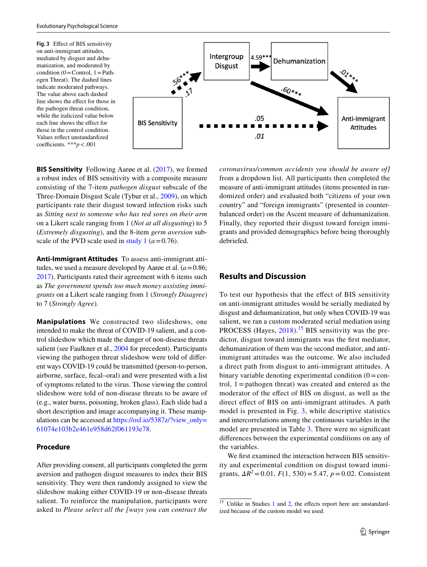<span id="page-8-1"></span>

**BIS Sensitivity** Following Aarge et al. [\(2017](#page-10-0)), we formed a robust index of BIS sensitivity with a composite measure consisting of the 7-item *pathogen disgust* subscale of the Three-Domain Disgust Scale (Tybur et al., [2009\)](#page-13-10), on which participants rate their disgust toward infection risks such as *Sitting next to someone who has red sores on their arm* on a Likert scale ranging from 1 (*Not at all disgusting*) to 5 (*Extremely disgusting*), and the 8-item *germ aversion* subscale of the PVD scale used in [study 1](#page-3-0)  $(a=0.76)$ .

**Anti‑Immigrant Attitudes** To assess anti-immigrant attitudes, we used a measure developed by Aarøe et al. (*a*=0.86; [2017](#page-10-0)). Participants rated their agreement with 6 items such as *The government spends too much money assisting immigrants* on a Likert scale ranging from 1 (*Strongly Disagree*) to 7 (*Strongly Agree*).

**Manipulations** We constructed two slideshows, one intended to make the threat of COVID-19 salient, and a control slideshow which made the danger of non-disease threats salient (see Faulkner et al., [2004](#page-11-3) for precedent). Participants viewing the pathogen threat slideshow were told of diferent ways COVID-19 could be transmitted (person-to-person, airborne, surface, fecal–oral) and were presented with a list of symptoms related to the virus. Those viewing the control slideshow were told of non-disease threats to be aware of (e.g., water burns, poisoning, broken glass). Each slide had a short description and image accompanying it. These manipulations can be accessed at [https://osf.io/5387z/?view\\_only=](https://osf.io/5387z/?view_only=61074e103b2e461e958d62f061193e78) [61074e103b2e461e958d62f061193e78.](https://osf.io/5387z/?view_only=61074e103b2e461e958d62f061193e78)

## **Procedure**

After providing consent, all participants completed the germ aversion and pathogen disgust measures to index their BIS sensitivity. They were then randomly assigned to view the slideshow making either COVID-19 or non-disease threats salient. To reinforce the manipulation, participants were asked to *Please select all the [ways you can contract the*  *coronavirus/common accidents you should be aware of]* from a dropdown list. All participants then completed the measure of anti-immigrant attitudes (items presented in randomized order) and evaluated both "citizens of your own country" and "foreign immigrants" (presented in counterbalanced order) on the Ascent measure of dehumanization. Finally, they reported their disgust toward foreign immigrants and provided demographics before being thoroughly debriefed.

# **Results and Discussion**

To test our hypothesis that the efect of BIS sensitivity on anti-immigrant attitudes would be serially mediated by disgust and dehumanization, but only when COVID-19 was salient, we ran a custom moderated serial mediation using PROCESS (Hayes,  $2018$ ).<sup>[15](#page-8-0)</sup> BIS sensitivity was the predictor, disgust toward immigrants was the frst mediator, dehumanization of them was the second mediator, and antiimmigrant attitudes was the outcome. We also included a direct path from disgust to anti-immigrant attitudes. A binary variable denoting experimental condition  $(0=$ control,  $1 =$  pathogen threat) was created and entered as the moderator of the efect of BIS on disgust, as well as the direct efect of BIS on anti-immigrant attitudes. A path model is presented in Fig. [3,](#page-8-1) while descriptive statistics and intercorrelations among the continuous variables in the model are presented in Table [3.](#page-9-0) There were no signifcant diferences between the experimental conditions on any of the variables.

We first examined the interaction between BIS sensitivity and experimental condition on disgust toward immigrants,  $\Delta R^2 = 0.01$ ,  $F(1, 530) = 5.47$ ,  $p = 0.02$ . Consistent

<span id="page-8-0"></span><sup>&</sup>lt;sup>15</sup> Unlike in Studies [1](#page-3-0) and [2](#page-5-0), the effects report here are unstandardized because of the custom model we used.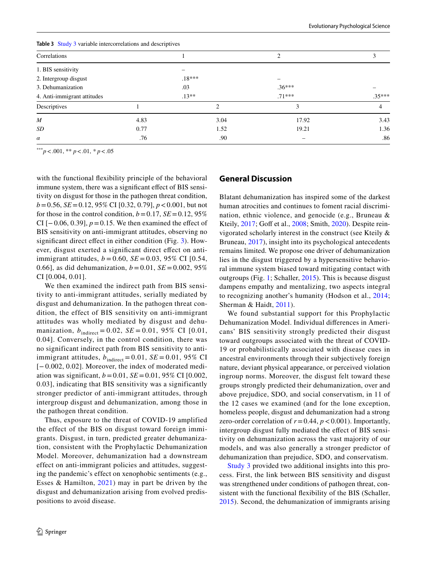| <b>Replace 2</b> Study 3 variable intercorrelations and descriptives |      |          |          |                |  |  |  |  |
|----------------------------------------------------------------------|------|----------|----------|----------------|--|--|--|--|
| Correlations                                                         |      |          | 2        |                |  |  |  |  |
| 1. BIS sensitivity                                                   |      |          |          |                |  |  |  |  |
| 2. Intergroup disgust                                                |      | $.18***$ |          |                |  |  |  |  |
| 3. Dehumanization                                                    |      | .03      | $.36***$ |                |  |  |  |  |
| 4. Anti-immigrant attitudes                                          |      | $.13**$  | $.71***$ | $.35***$       |  |  |  |  |
| Descriptives                                                         |      | າ        | 3        | $\overline{4}$ |  |  |  |  |
| $\boldsymbol{M}$                                                     | 4.83 | 3.04     | 17.92    | 3.43           |  |  |  |  |
| SD                                                                   | 0.77 | 1.52     | 19.21    | 1.36           |  |  |  |  |
| $\alpha$                                                             | .76  | .90      | -        | .86            |  |  |  |  |

<span id="page-9-0"></span>**Table 3** [Study 3](#page-7-0) variable intercorrelations and descriptives

\*\*\**p*<.001, \*\* *p*<.01, *\* p*<.05

with the functional flexibility principle of the behavioral immune system, there was a significant effect of BIS sensitivity on disgust for those in the pathogen threat condition, *b*=0.56, *SE*=0.12, 95% CI [0.32, 0.79], *p*<0.001, but not for those in the control condition,  $b = 0.17$ ,  $SE = 0.12$ ,  $95\%$ CI  $[-0.06, 0.39]$ ,  $p = 0.15$ . We then examined the effect of BIS sensitivity on anti-immigrant attitudes, observing no significant direct effect in either condition (Fig. [3](#page-8-1)). However, disgust exerted a signifcant direct efect on antiimmigrant attitudes, *b* = 0.60, *SE* = 0.03, 95% CI [0.54, 0.66], as did dehumanization,  $b = 0.01$ ,  $SE = 0.002$ , 95% CI [0.004, 0.01].

We then examined the indirect path from BIS sensitivity to anti-immigrant attitudes, serially mediated by disgust and dehumanization. In the pathogen threat condition, the effect of BIS sensitivity on anti-immigrant attitudes was wholly mediated by disgust and dehumanization,  $b_{indirect} = 0.02$ ,  $SE = 0.01$ , 95% CI [0.01, 0.04]. Conversely, in the control condition, there was no significant indirect path from BIS sensitivity to antiimmigrant attitudes,  $b_{indirect} = 0.01$ ,  $SE = 0.01$ , 95% CI [− 0.002, 0.02]. Moreover, the index of moderated mediation was significant,  $b = 0.01$ ,  $SE = 0.01$ ,  $95\%$  CI [0.002, 0.03], indicating that BIS sensitivity was a significantly stronger predictor of anti-immigrant attitudes, through intergroup disgust and dehumanization, among those in the pathogen threat condition.

Thus, exposure to the threat of COVID-19 amplified the effect of the BIS on disgust toward foreign immigrants. Disgust, in turn, predicted greater dehumanization, consistent with the Prophylactic Dehumanization Model. Moreover, dehumanization had a downstream effect on anti-immigrant policies and attitudes, suggesting the pandemic's effect on xenophobic sentiments (e.g., Esses & Hamilton, [2021\)](#page-11-28) may in part be driven by the disgust and dehumanization arising from evolved predispositions to avoid disease.

## **General Discussion**

Blatant dehumanization has inspired some of the darkest human atrocities and continues to foment racial discrimination, ethnic violence, and genocide (e.g., Bruneau & Kteily, [2017](#page-11-29); Goff et al., [2008;](#page-11-30) Smith, [2020](#page-13-4)). Despite reinvigorated scholarly interest in the construct (see Kteily & Bruneau, [2017\)](#page-12-7), insight into its psychological antecedents remains limited. We propose one driver of dehumanization lies in the disgust triggered by a hypersensitive behavioral immune system biased toward mitigating contact with outgroups (Fig. [1](#page-2-0); Schaller, [2015\)](#page-12-0). This is because disgust dampens empathy and mentalizing, two aspects integral to recognizing another's humanity (Hodson et al., [2014](#page-12-8); Sherman & Haidt, [2011\)](#page-13-2).

We found substantial support for this Prophylactic Dehumanization Model. Individual diferences in Americans' BIS sensitivity strongly predicted their disgust toward outgroups associated with the threat of COVID-19 or probabilistically associated with disease cues in ancestral environments through their subjectively foreign nature, deviant physical appearance, or perceived violation ingroup norms. Moreover, the disgust felt toward these groups strongly predicted their dehumanization, over and above prejudice, SDO, and social conservatism, in 11 of the 12 cases we examined (and for the lone exception, homeless people, disgust and dehumanization had a strong zero-order correlation of  $r = 0.44$ ,  $p < 0.001$ ). Importantly, intergroup disgust fully mediated the efect of BIS sensitivity on dehumanization across the vast majority of our models, and was also generally a stronger predictor of dehumanization than prejudice, SDO, and conservatism.

[Study 3](#page-7-0) provided two additional insights into this process. First, the link between BIS sensitivity and disgust was strengthened under conditions of pathogen threat, consistent with the functional fexibility of the BIS (Schaller, [2015\)](#page-12-0). Second, the dehumanization of immigrants arising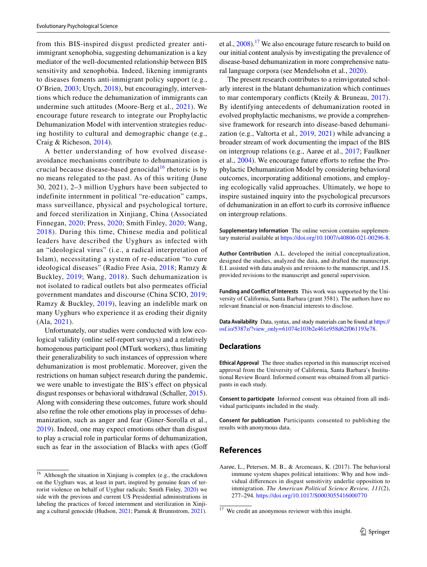from this BIS-inspired disgust predicted greater antiimmigrant xenophobia, suggesting dehumanization is a key mediator of the well-documented relationship between BIS sensitivity and xenophobia. Indeed, likening immigrants to diseases foments anti-immigrant policy support (e.g., O'Brien, [2003](#page-12-26); Utych, [2018](#page-13-11)), but encouragingly, interventions which reduce the dehumanization of immigrants can undermine such attitudes (Moore-Berg et al., [2021](#page-12-25)). We encourage future research to integrate our Prophylactic Dehumanization Model with intervention strategies reducing hostility to cultural and demographic change (e.g., Craig & Richeson, [2014\)](#page-11-31).

A better understanding of how evolved diseaseavoidance mechanisms contribute to dehumanization is crucial because disease-based genocidal<sup>[16](#page-10-1)</sup> rhetoric is by no means relegated to the past. As of this writing (June 30, 2021), 2–3 million Uyghurs have been subjected to indefinite internment in political "re-education" camps, mass surveillance, physical and psychological torture, and forced sterilization in Xinjiang, China (Associated Finnegan, [2020](#page-11-32); Press, [2020;](#page-11-33) Smith Finley, [2020;](#page-13-12) Wang, [2018\)](#page-13-13). During this time, Chinese media and political leaders have described the Uyghurs as infected with an "ideological virus" (i.e., a radical interpretation of Islam), necessitating a system of re-education "to cure ideological diseases" (Radio Free Asia, [2018](#page-12-27); Ramzy & Buckley, [2019](#page-12-28); Wang, [2018\)](#page-13-13). Such dehumanization is not isolated to radical outlets but also permeates official government mandates and discourse (China SCIO, [2019](#page-11-34); Ramzy & Buckley, [2019\)](#page-12-28), leaving an indelible mark on many Uyghurs who experience it as eroding their dignity (Ala, [2021\)](#page-11-35).

Unfortunately, our studies were conducted with low ecological validity (online self-report surveys) and a relatively homogenous participant pool (MTurk workers), thus limiting their generalizability to such instances of oppression where dehumanization is most problematic. Moreover, given the restrictions on human subject research during the pandemic, we were unable to investigate the BIS's effect on physical disgust responses or behavioral withdrawal (Schaller, [2015](#page-12-0)). Along with considering these outcomes, future work should also refne the role other emotions play in processes of dehumanization, such as anger and fear (Giner-Sorolla et al., [2019](#page-11-11)). Indeed, one may expect emotions other than disgust to play a crucial role in particular forms of dehumanization, such as fear in the association of Blacks with apes (Goff et al.,  $2008$ ).<sup>17</sup> We also encourage future research to build on our initial content analysis by investigating the prevalence of disease-based dehumanization in more comprehensive natural language corpora (see Mendelsohn et al., [2020](#page-12-29)).

The present research contributes to a reinvigorated scholarly interest in the blatant dehumanization which continues to mar contemporary conficts (Kteily & Bruneau, [2017](#page-12-7)). By identifying antecedents of dehumanization rooted in evolved prophylactic mechanisms, we provide a comprehensive framework for research into disease-based dehumanization (e.g., Valtorta et al., [2019](#page-13-14), [2021\)](#page-13-15) while advancing a broader stream of work documenting the impact of the BIS on intergroup relations (e.g., Aarøe et al., [2017;](#page-10-0) Faulkner et al., [2004](#page-11-3)). We encourage future eforts to refne the Prophylactic Dehumanization Model by considering behavioral outcomes, incorporating additional emotions, and employing ecologically valid approaches. Ultimately, we hope to inspire sustained inquiry into the psychological precursors of dehumanization in an efort to curb its corrosive infuence on intergroup relations.

**Supplementary Information** The online version contains supplementary material available at<https://doi.org/10.1007/s40806-021-00296-8>.

**Author Contribution** A.L. developed the initial conceptualization, designed the studies, analyzed the data, and drafted the manuscript. E.I. assisted with data analysis and revisions to the manuscript, and J.S. provided revisions to the manuscript and general supervision.

**Funding and Conflict of Interests** This work was supported by the University of California, Santa Barbara (grant 3581). The authors have no relevant fnancial or non-fnancial interests to disclose.

**Data Availability** Data, syntax, and study materials can be found at [https://](https://osf.io/5387z/?view_only=61074e103b2e461e958d62f061193e78) [osf.io/5387z/?view\\_only=61074e103b2e461e958d62f061193e78.](https://osf.io/5387z/?view_only=61074e103b2e461e958d62f061193e78)

# **Declarations**

**Ethical Approval** The three studies reported in this manuscript received approval from the University of California, Santa Barbara's Institutional Review Board. Informed consent was obtained from all participants in each study.

**Consent to participate** Informed consent was obtained from all individual participants included in the study.

**Consent for publication** Participants consented to publishing the results with anonymous data.

# **References**

<span id="page-10-0"></span>Aarøe, L., Petersen, M. B., & Arceneaux, K. (2017). The behavioral immune system shapes political intuitions: Why and how individual diferences in disgust sensitivity underlie opposition to immigration. *The American Political Science Review, 111*(2), 277–294.<https://doi.org/10.1017/S0003055416000770>

<span id="page-10-1"></span><sup>16</sup> Although the situation in Xinjiang is complex (e.g., the crackdown on the Uyghurs was, at least in part, inspired by genuine fears of terrorist violence on behalf of Uyghur radicals; Smith Finley, [2020\)](#page-13-12) we side with the previous and current US Presidential administrations in labeling the practices of forced internment and sterilization in Xinji-ang a cultural genocide (Hudson, [2021;](#page-12-30) Pamuk & Brunnstrom, [2021](#page-12-31)). <sup>17</sup> We credit an anonymous reviewer with this insight.

<span id="page-10-2"></span>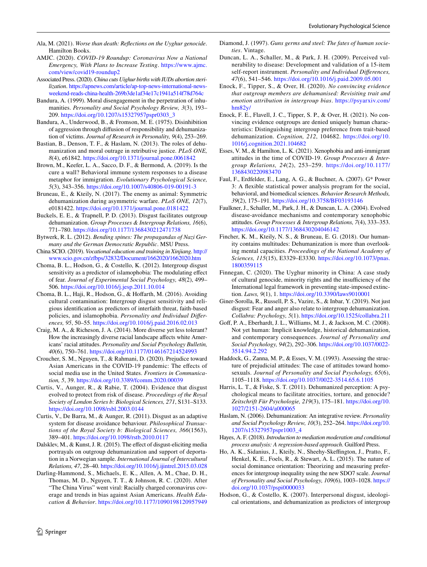- <span id="page-11-35"></span>Ala, M. (2021). *Worse than death: Refections on the Uyghur genocide*. Hamilton Books.
- <span id="page-11-20"></span>AMJC. (2020). *COVID-19 Roundup: Coronavirus Now a National Emergency, With Plans to Increase Testing*. [https://www.ajmc.](https://www.ajmc.com/view/covid19-roundup2) [com/view/covid19-roundup2](https://www.ajmc.com/view/covid19-roundup2)
- <span id="page-11-33"></span>Associated Press. (2020). *China cuts Uighur births with IUDs abortion sterilization*. [https://apnews.com/article/ap-top-news-international-news](https://apnews.com/article/ap-top-news-international-news-weekend-reads-china-health-269b3de1af34e17c1941a514f78d764c)[weekend-reads-china-health-269b3de1af34e17c1941a514f78d764c](https://apnews.com/article/ap-top-news-international-news-weekend-reads-china-health-269b3de1af34e17c1941a514f78d764c)
- <span id="page-11-8"></span>Bandura, A. (1999). Moral disengagement in the perpetration of inhumanities. *Personality and Social Psychology Review, 3*(3), 193– 209. [https://doi.org/10.1207/s15327957pspr0303\\_3](https://doi.org/10.1207/s15327957pspr0303_3)
- <span id="page-11-9"></span>Bandura, A., Underwood, B., & Fromson, M. E. (1975). Disinhibition of aggression through difusion of responsibility and dehumanization of victims. *Journal of Research in Personality, 9*(4), 253–269.
- <span id="page-11-26"></span>Bastian, B., Denson, T. F., & Haslam, N. (2013). The roles of dehumanization and moral outrage in retributive justice. *PLoS ONE, 8*(4), e61842.<https://doi.org/10.1371/journal.pone.0061842>
- <span id="page-11-2"></span>Brown, M., Keefer, L. A., Sacco, D. F., & Bermond, A. (2019). Is the cure a wall? Behavioral immune system responses to a disease metaphor for immigration. *Evolutionary Psychological Science, 5*(3), 343–356. <https://doi.org/10.1007/s40806-019-00191-3>
- <span id="page-11-29"></span>Bruneau, E., & Kteily, N. (2017). The enemy as animal: Symmetric dehumanization during asymmetric warfare. *PLoS ONE, 12*(7), e0181422.<https://doi.org/10.1371/journal.pone.0181422>
- <span id="page-11-10"></span>Buckels, E. E., & Trapnell, P. D. (2013). Disgust facilitates outgroup dehumanization. *Group Processes & Intergroup Relations, 16*(6), 771–780.<https://doi.org/10.1177/1368430212471738>
- <span id="page-11-19"></span>Bytwerk, R. L. (2012). *Bending spines: The propagandas of Nazi Germany and the German Democratic Republic*. MSU Press.
- <span id="page-11-34"></span>China SCIO. (2019). *Vocational education and training in Xinjiang*. [http://](http://www.scio.gov.cn/zfbps/32832/Document/1662020/1662020.htm) [www.scio.gov.cn/zfbps/32832/Document/1662020/1662020.htm](http://www.scio.gov.cn/zfbps/32832/Document/1662020/1662020.htm)
- <span id="page-11-7"></span>Choma, B. L., Hodson, G., & Costello, K. (2012). Intergroup disgust sensitivity as a predictor of islamophobia: The modulating efect of fear. *Journal of Experimental Social Psychology, 48*(2), 499– 506.<https://doi.org/10.1016/j.jesp.2011.10.014>
- <span id="page-11-5"></span>Choma, B. L., Haji, R., Hodson, G., & Hoffarth, M. (2016). Avoiding cultural contamination: Intergroup disgust sensitivity and religious identifcation as predictors of interfaith threat, faith-based policies, and islamophobia. *Personality and Individual Diferences, 95*, 50–55. <https://doi.org/10.1016/j.paid.2016.02.013>
- <span id="page-11-31"></span>Craig, M. A., & Richeson, J. A. (2014). More diverse yet less tolerant? How the increasingly diverse racial landscape afects white Americans' racial attitudes. *Personality and Social Psychology Bulletin, 40*(6), 750–761.<https://doi.org/10.1177/0146167214524993>
- <span id="page-11-24"></span>Croucher, S. M., Nguyen, T., & Rahmani, D. (2020). Prejudice toward Asian Americans in the COVID-19 pandemic: The effects of social media use in the United States. *Frontiers in Communication, 5*, 39.<https://doi.org/10.3389/fcomm.2020.00039>
- <span id="page-11-1"></span>Curtis, V., Aunger, R., & Rabie, T. (2004). Evidence that disgust evolved to protect from risk of disease. *Proceedings of the Royal Society of London Series b: Biological Sciences, 271*, S131–S133. <https://doi.org/10.1098/rsbl.2003.0144>
- <span id="page-11-0"></span>Curtis, V., De Barra, M., & Aunger, R. (2011). Disgust as an adaptive system for disease avoidance behaviour. *Philosophical Transactions of the Royal Society b: Biological Sciences, 366*(1563), 389–401.<https://doi.org/10.1098/rstb.2010.0117>
- <span id="page-11-12"></span>Dalsklev, M., & Kunst, J. R. (2015). The effect of disgust-eliciting media portrayals on outgroup dehumanization and support of deportation in a Norwegian sample. *International Journal of Intercultural Relations, 47*, 28–40. <https://doi.org/10.1016/j.ijintrel.2015.03.028>
- <span id="page-11-18"></span>Darling-Hammond, S., Michaels, E. K., Allen, A. M., Chae, D. H., Thomas, M. D., Nguyen, T. T., & Johnson, R. C. (2020). After "The China Virus" went viral: Racially charged coronavirus coverage and trends in bias against Asian Americans. *Health Education & Behavior*.<https://doi.org/10.1177/1090198120957949>
- <span id="page-11-4"></span>Diamond, J. (1997). *Guns germs and steel: The fates of human societies*. Vintage.
- <span id="page-11-6"></span>Duncan, L. A., Schaller, M., & Park, J. H. (2009). Perceived vulnerability to disease: Development and validation of a 15-item self-report instrument. *Personality and Individual Diferences, 47*(6), 541–546.<https://doi.org/10.1016/j.paid.2009.05.001>
- <span id="page-11-17"></span>Enock, F., Tipper, S., & Over, H. (2020). *No convincing evidence that outgroup members are dehumanised: Revisiting trait and emotion attribution in intergroup bias*. [https://psyarxiv.com/](https://psyarxiv.com/hm82y/) [hm82y/](https://psyarxiv.com/hm82y/)
- <span id="page-11-16"></span>Enock, F. E., Flavell, J. C., Tipper, S. P., & Over, H. (2021). No convincing evidence outgroups are denied uniquely human characteristics: Distinguishing intergroup preference from trait-based dehumanization. *Cognition, 212*, 104682. [https://doi.org/10.](https://doi.org/10.1016/j.cognition.2021.104682) [1016/j.cognition.2021.104682](https://doi.org/10.1016/j.cognition.2021.104682)
- <span id="page-11-28"></span>Esses, V. M., & Hamilton, L. K. (2021). Xenophobia and anti-immigrant attitudes in the time of COVID-19. *Group Processes & Intergroup Relations, 24*(2), 253–259. [https://doi.org/10.1177/](https://doi.org/10.1177/1368430220983470) [1368430220983470](https://doi.org/10.1177/1368430220983470)
- <span id="page-11-25"></span>Faul, F., Erdfelder, E., Lang, A. G., & Buchner, A. (2007). G\* Power 3: A fexible statistical power analysis program for the social, behavioral, and biomedical sciences. *Behavior Research Methods, 39*(2), 175–191.<https://doi.org/10.3758/BF03193146>
- <span id="page-11-3"></span>Faulkner, J., Schaller, M., Park, J. H., & Duncan, L. A. (2004). Evolved disease-avoidance mechanisms and contemporary xenophobic attitudes. *Group Processes & Intergroup Relations, 7*(4), 333–353. <https://doi.org/10.1177/1368430204046142>
- <span id="page-11-14"></span>Fincher, K. M., Kteily, N. S., & Bruneau, E. G. (2018). Our humanity contains multitudes: Dehumanization is more than overlooking mental capacities. *Proceedings of the National Academy of Sciences, 115*(15), E3329–E3330. [https://doi.org/10.1073/pnas.](https://doi.org/10.1073/pnas.1800359115) [1800359115](https://doi.org/10.1073/pnas.1800359115)
- <span id="page-11-32"></span>Finnegan, C. (2020). The Uyghur minority in China: A case study of cultural genocide, minority rights and the insufficiency of the International legal framework in preventing state-imposed extinction. *Laws, 9*(1), 1.<https://doi.org/10.3390/laws9010001>
- <span id="page-11-11"></span>Giner-Sorolla, R., Russell, P. S., Vazire, S., & Inbar, Y. (2019). Not just disgust: Fear and anger also relate to intergroup dehumanization. *Collabra: Psychology, 5*(1). <https://doi.org/10.1525/collabra.211>
- <span id="page-11-30"></span>Gof, P. A., Eberhardt, J. L., Williams, M. J., & Jackson, M. C. (2008). Not yet human: Implicit knowledge, historical dehumanization, and contemporary consequences. *Journal of Personality and Social Psychology, 94*(2), 292–306. [https://doi.org/10.1037/0022-](https://doi.org/10.1037/0022-3514.94.2.292) [3514.94.2.292](https://doi.org/10.1037/0022-3514.94.2.292)
- <span id="page-11-21"></span>Haddock, G., Zanna, M. P., & Esses, V. M. (1993). Assessing the structure of prejudicial attitudes: The case of attitudes toward homosexuals. *Journal of Personality and Social Psychology, 65*(6), 1105–1118.<https://doi.org/10.1037/0022-3514.65.6.1105>
- <span id="page-11-13"></span>Harris, L. T., & Fiske, S. T. (2011). Dehumanized perception: A psychological means to facilitate atrocities, torture, and genocide? *Zeitschrift Für Psychologie, 219*(3), 175–181. [https://doi.org/10.](https://doi.org/10.1027/2151-2604/a000065) [1027/2151-2604/a000065](https://doi.org/10.1027/2151-2604/a000065)
- <span id="page-11-27"></span>Haslam, N. (2006). Dehumanization: An integrative review. *Personality and Social Psychology Review, 10*(3), 252–264. [https://doi.org/10.](https://doi.org/10.1207/s15327957pspr1003_4) [1207/s15327957pspr1003\\_4](https://doi.org/10.1207/s15327957pspr1003_4)
- <span id="page-11-23"></span>Hayes, A. F. (2018). *Introduction to mediation moderation and conditional process analysis: A regression-based approach*. Guilford Press.
- <span id="page-11-22"></span>Ho, A. K., Sidanius, J., Kteily, N., Sheehy-Skeffington, J., Pratto, F. Henkel, K. E., Foels, R., & Stewart, A. L. (2015). The nature of social dominance orientation: Theorizing and measuring preferences for intergroup inequality using the new SDO7 scale. *Journal of Personality and Social Psychology, 109*(6), 1003–1028. [https://](https://doi.org/10.1037/pspi0000033) [doi.org/10.1037/pspi0000033](https://doi.org/10.1037/pspi0000033)
- <span id="page-11-15"></span>Hodson, G., & Costello, K. (2007). Interpersonal disgust, ideological orientations, and dehumanization as predictors of intergroup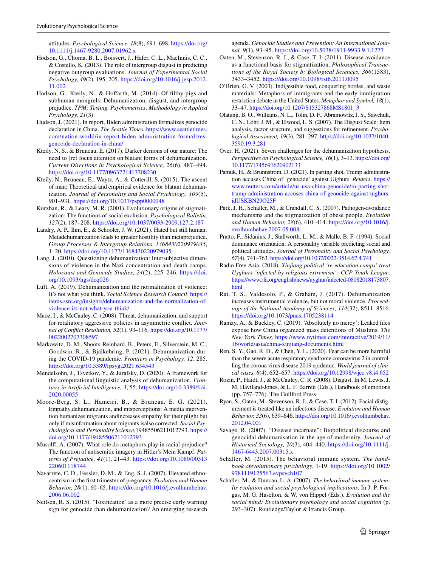attitudes. *Psychological Science, 18*(8), 691–698. [https://doi.org/](https://doi.org/10.1111/j.1467-9280.2007.01962.x) [10.1111/j.1467-9280.2007.01962.x](https://doi.org/10.1111/j.1467-9280.2007.01962.x)

- <span id="page-12-3"></span>Hodson, G., Choma, B. L., Boisvert, J., Hafer, C. L., MacInnis, C. C., & Costello, K. (2013). The role of intergroup disgust in predicting negative outgroup evaluations. *Journal of Experimental Social Psychology, 49*(2), 195–205. [https://doi.org/10.1016/j.jesp.2012.](https://doi.org/10.1016/j.jesp.2012.11.002) [11.002](https://doi.org/10.1016/j.jesp.2012.11.002)
- <span id="page-12-8"></span>Hodson, G., Kteily, N., & Hoffarth, M. (2014). Of filthy pigs and subhuman mongrels: Dehumanization, disgust, and intergroup prejudice. *TPM: Testing, Psychometrics, Methodology in Applied Psychology, 21*(3).
- <span id="page-12-30"></span>Hudson, J. (2021). In report, Biden administration formalizes genocide declaration in China. *The Seattle Times.* [https://www.seattletimes.](https://www.seattletimes.com/nation-world/in-report-biden-administration-formalizes-genocide-declaration-in-china/) [com/nation-world/in-report-biden-administration-formalizes](https://www.seattletimes.com/nation-world/in-report-biden-administration-formalizes-genocide-declaration-in-china/)[genocide-declaration-in-china/](https://www.seattletimes.com/nation-world/in-report-biden-administration-formalizes-genocide-declaration-in-china/)
- <span id="page-12-7"></span>Kteily, N. S., & Bruneau, E. (2017). Darker demons of our nature: The need to (re) focus attention on blatant forms of dehumanization. *Current Directions in Psychological Science, 26*(6), 487–494. <https://doi.org/10.1177/0963721417708230>
- <span id="page-12-5"></span>Kteily, N., Bruneau, E., Waytz, A., & Cotterill, S. (2015). The ascent of man: Theoretical and empirical evidence for blatant dehumanization. *Journal of Personality and Social Psychology, 109*(5), 901–931.<https://doi.org/10.1037/pspp0000048>
- <span id="page-12-21"></span>Kurzban, R., & Leary, M. R. (2001). Evolutionary origins of stigmatization: The functions of social exclusion. *Psychological Bulletin, 127*(2), 187–208.<https://doi.org/10.1037/0033-2909.127.2.187>
- <span id="page-12-20"></span>Landry, A. P., Ihm, E., & Schooler, J. W. (2021). Hated but still human: Metadehumanization leads to greater hostility than metaprejudice. *Group Processes & Intergroup Relations*, *1368430220979035*, 1–20.<https://doi.org/10.1177/1368430220979035>
- <span id="page-12-18"></span>Lang, J. (2010). Questioning dehumanization: Intersubjective dimensions of violence in the Nazi concentration and death camps. *Holocaust and Genocide Studies, 24*(2), 225–246. [https://doi.](https://doi.org/10.1093/hgs/dcq026) [org/10.1093/hgs/dcq026](https://doi.org/10.1093/hgs/dcq026)
- <span id="page-12-19"></span>Luft, A. (2019). Dehumanization and the normalization of violence: It's not what you think. *Social Science Research Council*. [https://](https://items.ssrc.org/insights/dehumanization-and-the-normalization-of-violence-its-not-what-you-think/) [items.ssrc.org/insights/dehumanization-and-the-normalization-of](https://items.ssrc.org/insights/dehumanization-and-the-normalization-of-violence-its-not-what-you-think/)[violence-its-not-what-you-think/](https://items.ssrc.org/insights/dehumanization-and-the-normalization-of-violence-its-not-what-you-think/)
- <span id="page-12-6"></span>Maoz, I., & McCauley, C. (2008). Threat, dehumanization, and support for retaliatory aggressive policies in asymmetric confict. *Journal of Confict Resolution, 52*(1), 93–116. [https://doi.org/10.1177/](https://doi.org/10.1177/0022002707308597) [0022002707308597](https://doi.org/10.1177/0022002707308597)
- <span id="page-12-17"></span>Markowitz, D. M., Shoots-Reinhard, B., Peters, E., Silverstein, M. C., Goodwin, R., & Bjälkebring, P. (2021). Dehumanization during the COVID-19 pandemic. *Frontiers in Psychology, 12*, 285. <https://doi.org/10.3389/fpsyg.2021.634543>
- <span id="page-12-29"></span>Mendelsohn, J., Tsvetkov, Y., & Jurafsky, D. (2020). A framework for the computational linguistic analysis of dehumanization. *Frontiers in Artifcial Intelligence, 3*, 55. [https://doi.org/10.3389/frai.](https://doi.org/10.3389/frai.2020.00055) [2020.00055](https://doi.org/10.3389/frai.2020.00055)
- <span id="page-12-25"></span>Moore-Berg, S. L., Hameiri, B., & Bruneau, E. G. (2021). Empathy,dehumanization, and misperceptions: A media intervention humanizes migrants andincreases empathy for their plight but only if misinformation about migrants isalso corrected. *Social Psychological and Personality Science*,19485506211012793. [https://](https://doi.org/10.1177/19485506211012793) [doi.org/10.1177/19485506211012793](https://doi.org/10.1177/19485506211012793)
- <span id="page-12-9"></span>Musolf, A. (2007). What role do metaphors play in racial prejudice? The function of antisemitic imagery in Hitler's Mein Kampf. *Patterns of Prejudice, 41*(1), 21–43. [https://doi.org/10.1080/00313](https://doi.org/10.1080/00313220601118744) [220601118744](https://doi.org/10.1080/00313220601118744)
- <span id="page-12-4"></span>Navarrete, C. D., Fessler, D. M., & Eng, S. J. (2007). Elevated ethnocentrism in the frst trimester of pregnancy. *Evolution and Human Behavior, 28*(1), 60–65. [https://doi.org/10.1016/j.evolhumbehav.](https://doi.org/10.1016/j.evolhumbehav.2006.06.002) [2006.06.002](https://doi.org/10.1016/j.evolhumbehav.2006.06.002)
- <span id="page-12-10"></span>Neilsen, R. S. (2015). 'Toxifcation' as a more precise early warning sign for genocide than dehumanization? An emerging research

agenda. *Genocide Studies and Prevention: An International Journal, 9*(1), 93–95.<https://doi.org/10.5038/1911-9933.9.1.1277>

- <span id="page-12-22"></span>Oaten, M., Stevenson, R. J., & Case, T. I. (2011). Disease avoidance as a functional basis for stigmatization. *Philosophical Transactions of the Royal Society b: Biological Sciences, 366*(1583), 3433–3452.<https://doi.org/10.1098/rstb.2011.0095>
- <span id="page-12-26"></span>O'Brien, G. V. (2003). Indigestible food, conquering hordes, and waste materials: Metaphors of immigrants and the early immigration restriction debate in the United States. *Metaphor and Symbol, 18*(1), 33–47. [https://doi.org/10.1207/S15327868MS1801\\_3](https://doi.org/10.1207/S15327868MS1801_3)
- <span id="page-12-24"></span>Olatunji, B. O., Williams, N. L., Tolin, D. F., Abramowitz, J. S., Sawchuk, C. N., Lohr, J. M., & Elwood, L. S. (2007). The Disgust Scale: Item analysis, factor structure, and suggestions for refnement. *Psychological Assessment, 19*(3), 281–297. [https://doi.org/10.1037/1040-](https://doi.org/10.1037/1040-3590.19.3.281) [3590.19.3.281](https://doi.org/10.1037/1040-3590.19.3.281)
- <span id="page-12-13"></span>Over, H. (2021). Seven challenges for the dehumanization hypothesis. *Perspectives on Psychological Science, 16*(1), 3–13. [https://doi.org/](https://doi.org/10.1177/1745691620902133) [10.1177/1745691620902133](https://doi.org/10.1177/1745691620902133)
- <span id="page-12-31"></span>Pamuk, H., & Brunnstrom, D. (2021). In parting shot, Trump administration accuses China of 'genocide' against Uighurs. *Reuters*. [https://](https://www.reuters.com/article/us-usa-china-genocide/in-parting-shot-trump-administration-accuses-china-of-genocide-against-uighurs-idUSKBN29O25F) [www.reuters.com/article/us-usa-china-genocide/in-parting-shot](https://www.reuters.com/article/us-usa-china-genocide/in-parting-shot-trump-administration-accuses-china-of-genocide-against-uighurs-idUSKBN29O25F)[trump-administration-accuses-china-of-genocide-against-uighurs](https://www.reuters.com/article/us-usa-china-genocide/in-parting-shot-trump-administration-accuses-china-of-genocide-against-uighurs-idUSKBN29O25F)[idUSKBN29O25F](https://www.reuters.com/article/us-usa-china-genocide/in-parting-shot-trump-administration-accuses-china-of-genocide-against-uighurs-idUSKBN29O25F)
- <span id="page-12-23"></span>Park, J. H., Schaller, M., & Crandall, C. S. (2007). Pathogen-avoidance mechanisms and the stigmatization of obese people. *Evolution and Human Behavior, 28*(6), 410–414. [https://doi.org/10.1016/j.](https://doi.org/10.1016/j.evolhumbehav.2007.05.008) [evolhumbehav.2007.05.008](https://doi.org/10.1016/j.evolhumbehav.2007.05.008)
- <span id="page-12-15"></span>Pratto, F., Sidanius, J., Stallworth, L. M., & Malle, B. F. (1994). Social dominance orientation: A personality variable predicting social and political attitudes. *Journal of Personality and Social Psychology, 67*(4), 741–763.<https://doi.org/10.1037/0022-3514.67.4.741>
- <span id="page-12-27"></span>Radio Free Asia. (2018). *Xinjiang political 're-education camps' treat Uyghurs 'infected by religious extremism': CCP Youth League*. [https://www.rfa.org/english/news/uyghur/infected-08082018173807.](https://www.rfa.org/english/news/uyghur/infected-08082018173807.html) [html](https://www.rfa.org/english/news/uyghur/infected-08082018173807.html)
- <span id="page-12-12"></span>Rai, T. S., Valdesolo, P., & Graham, J. (2017). Dehumanization increases instrumental violence, but not moral violence. *Proceedings of the National Academy of Sciences, 114*(32), 8511–8516. <https://doi.org/10.1073/pnas.1705238114>
- <span id="page-12-28"></span>Ramzy, A., & Buckley, C. (2019). 'Absolutely no mercy': Leaked fles expose how China organized mass detentions of Muslims. *The New York Times*. [https://www.nytimes.com/interactive/2019/11/](https://www.nytimes.com/interactive/2019/11/16/world/asia/china-xinjiang-documents.html) [16/world/asia/china-xinjiang-documents.html](https://www.nytimes.com/interactive/2019/11/16/world/asia/china-xinjiang-documents.html)
- <span id="page-12-16"></span>Ren, S. Y., Gao, R. D., & Chen, Y. L. (2020). Fear can be more harmful than the severe acute respiratory syndrome coronavirus 2 in controlling the corona virus disease 2019 epidemic. *World journal of clinical cases, 8*(4), 652–657.<https://doi.org/10.12998/wjcc.v8.i4.652>
- <span id="page-12-14"></span>Rozin, P., Haidt, J., & McCauley, C. R. (2008). Disgust. In M. Lewis, J. M. Haviland-Jones, & L. F. Barrett (Eds.), Handbook of emotions (pp. 757–776). The Guilford Press.
- <span id="page-12-1"></span>Ryan, S., Oaten, M., Stevenson, R. J., & Case, T. I. (2012). Facial disfgurement is treated like an infectious disease. *Evolution and Human Behavior, 33*(6), 639–646. [https://doi.org/10.1016/j.evolhumbehav.](https://doi.org/10.1016/j.evolhumbehav.2012.04.001) [2012.04.001](https://doi.org/10.1016/j.evolhumbehav.2012.04.001)
- <span id="page-12-11"></span>Savage, R. (2007). "Disease incarnate": Biopolitical discourse and genocidal dehumanisation in the age of modernity. *Journal of Historical Sociology, 20*(3), 404–440. [https://doi.org/10.1111/j.](https://doi.org/10.1111/j.1467-6443.2007.00315.x) [1467-6443.2007.00315.x](https://doi.org/10.1111/j.1467-6443.2007.00315.x)
- <span id="page-12-0"></span>Schaller, M. (2015). The behavioral immune system. *The handbook ofevolutionary psychology*, 1-19. [https://doi.org/10.1002/](https://doi.org/10.1002/9781119125563.evpsych107) [9781119125563.evpsych107](https://doi.org/10.1002/9781119125563.evpsych107)
- <span id="page-12-2"></span>Schaller, M., & Duncan, L. A. (2007). *The behavioral immune system: Its evolution and social psychological implications*. In J. P. Forgas, M. G. Haselton, & W. von Hippel (Eds.), *Evolution and the social mind: Evolutionary psychology and social cognition* (p. 293–307). Routledge/Taylor & Francis Group.